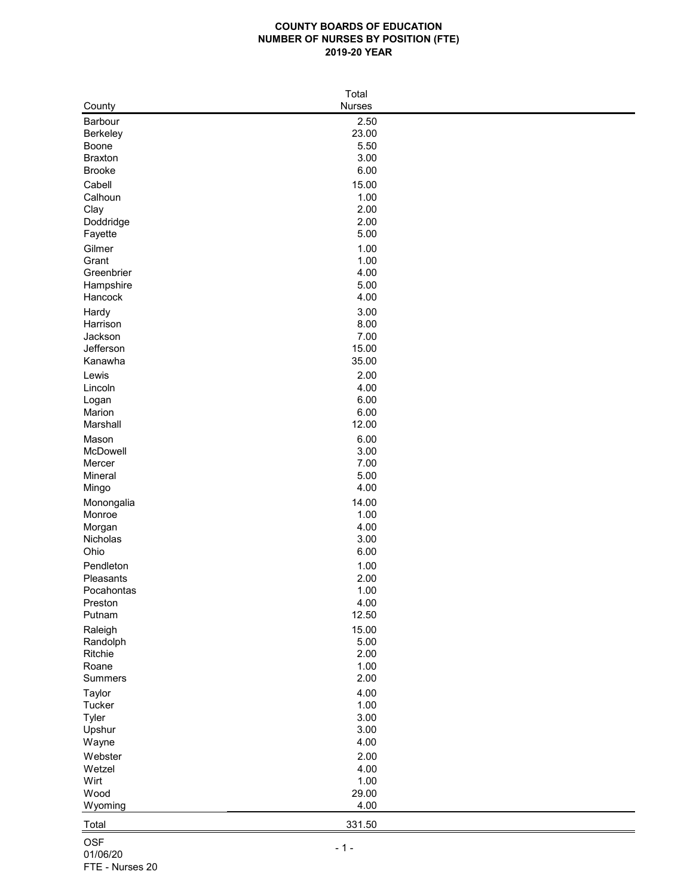## **COUNTY BOARDS OF EDUCATION NUMBER OF NURSES BY POSITION (FTE) 2019-20 YEAR**

| Total               |               |  |  |  |  |
|---------------------|---------------|--|--|--|--|
| County              | <b>Nurses</b> |  |  |  |  |
| <b>Barbour</b>      | 2.50          |  |  |  |  |
| <b>Berkeley</b>     | 23.00         |  |  |  |  |
| <b>Boone</b>        | 5.50          |  |  |  |  |
| <b>Braxton</b>      | 3.00          |  |  |  |  |
| <b>Brooke</b>       | 6.00          |  |  |  |  |
| Cabell              | 15.00         |  |  |  |  |
| Calhoun             | 1.00          |  |  |  |  |
|                     | 2.00          |  |  |  |  |
| Clay                | 2.00          |  |  |  |  |
| Doddridge           | 5.00          |  |  |  |  |
| Fayette             |               |  |  |  |  |
| Gilmer              | 1.00          |  |  |  |  |
| Grant               | 1.00          |  |  |  |  |
| Greenbrier          | 4.00          |  |  |  |  |
| Hampshire           | 5.00          |  |  |  |  |
| Hancock             | 4.00          |  |  |  |  |
| Hardy               | 3.00          |  |  |  |  |
| Harrison            | 8.00          |  |  |  |  |
| Jackson             | 7.00          |  |  |  |  |
| Jefferson           | 15.00         |  |  |  |  |
| Kanawha             | 35.00         |  |  |  |  |
| Lewis               | 2.00          |  |  |  |  |
| Lincoln             | 4.00          |  |  |  |  |
| Logan               | 6.00          |  |  |  |  |
| Marion              | 6.00          |  |  |  |  |
| Marshall            | 12.00         |  |  |  |  |
| Mason               | 6.00          |  |  |  |  |
| McDowell            | 3.00          |  |  |  |  |
| Mercer              | 7.00          |  |  |  |  |
| Mineral             | 5.00          |  |  |  |  |
| Mingo               | 4.00          |  |  |  |  |
| Monongalia          | 14.00         |  |  |  |  |
| Monroe              | 1.00          |  |  |  |  |
| Morgan              | 4.00          |  |  |  |  |
| Nicholas            | 3.00          |  |  |  |  |
| Ohio                | 6.00          |  |  |  |  |
| Pendleton           | 1.00          |  |  |  |  |
| Pleasants           | 2.00          |  |  |  |  |
| Pocahontas          | 1.00          |  |  |  |  |
| Preston             | 4.00          |  |  |  |  |
| Putnam              | 12.50         |  |  |  |  |
|                     | 15.00         |  |  |  |  |
| Raleigh             | 5.00          |  |  |  |  |
| Randolph<br>Ritchie | 2.00          |  |  |  |  |
| Roane               | 1.00          |  |  |  |  |
| <b>Summers</b>      | 2.00          |  |  |  |  |
|                     |               |  |  |  |  |
| <b>Taylor</b>       | 4.00          |  |  |  |  |
| <b>Tucker</b>       | 1.00          |  |  |  |  |
| <b>Tyler</b>        | 3.00          |  |  |  |  |
| Upshur              | 3.00          |  |  |  |  |
| Wayne               | 4.00          |  |  |  |  |
| Webster             | 2.00          |  |  |  |  |
| Wetzel              | 4.00          |  |  |  |  |
| Wirt                | 1.00          |  |  |  |  |
| Wood                | 29.00         |  |  |  |  |
| Wyoming             | 4.00          |  |  |  |  |
| Total               | 331.50        |  |  |  |  |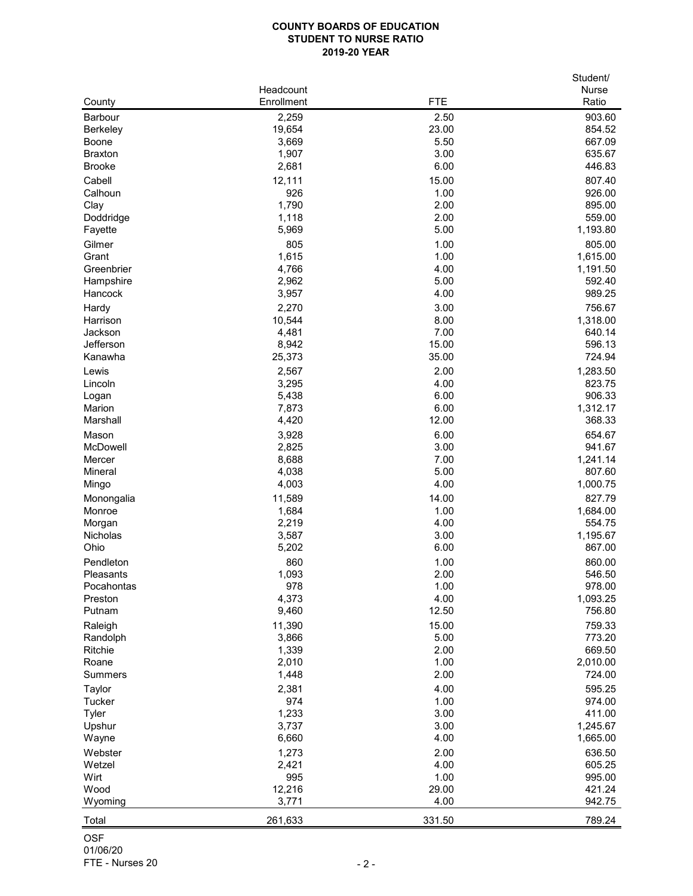## **COUNTY BOARDS OF EDUCATION STUDENT TO NURSE RATIO 2019-20 YEAR**

|                        |            |              | Student/           |
|------------------------|------------|--------------|--------------------|
|                        | Headcount  |              | <b>Nurse</b>       |
| County                 | Enrollment | <b>FTE</b>   | Ratio              |
| <b>Barbour</b>         | 2,259      | 2.50         | 903.60             |
| <b>Berkeley</b>        | 19,654     | 23.00        | 854.52             |
| <b>Boone</b>           | 3,669      | 5.50         | 667.09             |
| <b>Braxton</b>         | 1,907      | 3.00         | 635.67             |
| <b>Brooke</b>          | 2,681      | 6.00         | 446.83             |
| Cabell                 | 12,111     | 15.00        | 807.40             |
| Calhoun                | 926        | 1.00         | 926.00             |
| Clay                   | 1,790      | 2.00         | 895.00             |
| Doddridge              | 1,118      | 2.00         | 559.00             |
| Fayette                | 5,969      | 5.00         | 1,193.80           |
| Gilmer                 | 805        | 1.00         | 805.00             |
| Grant                  | 1,615      | 1.00         | 1,615.00           |
| Greenbrier             | 4,766      | 4.00         | 1,191.50           |
| Hampshire              | 2,962      | 5.00         | 592.40             |
| Hancock                | 3,957      | 4.00         | 989.25             |
| Hardy                  | 2,270      | 3.00         | 756.67             |
| Harrison               | 10,544     | 8.00         | 1,318.00           |
| Jackson                | 4,481      | 7.00         | 640.14             |
| Jefferson              | 8,942      | 15.00        | 596.13             |
| Kanawha                | 25,373     | 35.00        | 724.94             |
| Lewis                  | 2,567      | 2.00         | 1,283.50           |
| Lincoln                | 3,295      | 4.00         | 823.75             |
| Logan                  | 5,438      | 6.00         | 906.33             |
| Marion                 | 7,873      | 6.00         | 1,312.17           |
| Marshall               | 4,420      | 12.00        | 368.33             |
| Mason                  | 3,928      | 6.00         | 654.67             |
| <b>McDowell</b>        | 2,825      | 3.00         | 941.67             |
| Mercer                 | 8,688      | 7.00         | 1,241.14           |
| <b>Mineral</b>         | 4,038      | 5.00         | 807.60             |
| Mingo                  | 4,003      | 4.00         | 1,000.75           |
|                        | 11,589     | 14.00        | 827.79             |
| Monongalia<br>Monroe   | 1,684      | 1.00         | 1,684.00           |
| Morgan                 | 2,219      | 4.00         | 554.75             |
| Nicholas               | 3,587      | 3.00         | 1,195.67           |
| Ohio                   | 5,202      | 6.00         | 867.00             |
|                        | 860        |              | 860.00             |
| Pendleton<br>Pleasants | 1,093      | 1.00<br>2.00 | 546.50             |
| Pocahontas             | 978        | 1.00         | 978.00             |
| Preston                | 4,373      | 4.00         | 1,093.25           |
| Putnam                 | 9,460      | 12.50        | 756.80             |
|                        |            |              |                    |
| Raleigh                | 11,390     | 15.00        | 759.33             |
| Randolph               | 3,866      | 5.00<br>2.00 | 773.20<br>669.50   |
| Ritchie                | 1,339      | 1.00         |                    |
| Roane                  | 2,010      | 2.00         | 2,010.00<br>724.00 |
| <b>Summers</b>         | 1,448      |              |                    |
| <b>Taylor</b>          | 2,381      | 4.00         | 595.25             |
| <b>Tucker</b>          | 974        | 1.00         | 974.00             |
| <b>Tyler</b>           | 1,233      | 3.00         | 411.00             |
| Upshur                 | 3,737      | 3.00         | 1,245.67           |
| Wayne                  | 6,660      | 4.00         | 1,665.00           |
| Webster                | 1,273      | 2.00         | 636.50             |
| Wetzel                 | 2,421      | 4.00         | 605.25             |
| Wirt                   | 995        | 1.00         | 995.00             |
| Wood                   | 12,216     | 29.00        | 421.24             |
| Wyoming                | 3,771      | 4.00         | 942.75             |
| Total                  | 261,633    | 331.50       | 789.24             |